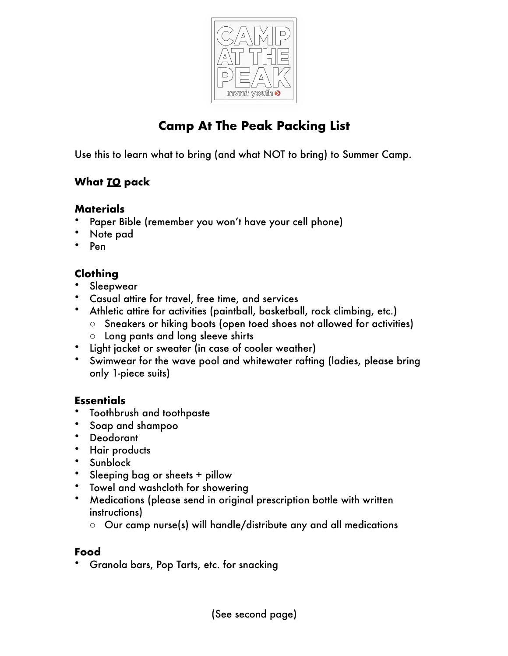

# **Camp At The Peak Packing List**

Use this to learn what to bring (and what NOT to bring) to Summer Camp.

## **What** *TO* **pack**

#### **Materials**

- Paper Bible (remember you won't have your cell phone)
- Note pad
- Pen

## **Clothing**

- Sleepwear
- Casual attire for travel, free time, and services
- Athletic attire for activities (paintball, basketball, rock climbing, etc.) o Sneakers or hiking boots (open toed shoes not allowed for activities)
	- o Long pants and long sleeve shirts
- Light jacket or sweater (in case of cooler weather)
- Swimwear for the wave pool and whitewater rafting (ladies, please bring only 1-piece suits)

### **Essentials**

- Toothbrush and toothpaste
- Soap and shampoo
- **Deodorant**
- Hair products
- Sunblock
- Sleeping bag or sheets + pillow
- Towel and washcloth for showering
- Medications (please send in original prescription bottle with written instructions)
	- $\circ$  Our camp nurse(s) will handle/distribute any and all medications

### **Food**

• Granola bars, Pop Tarts, etc. for snacking